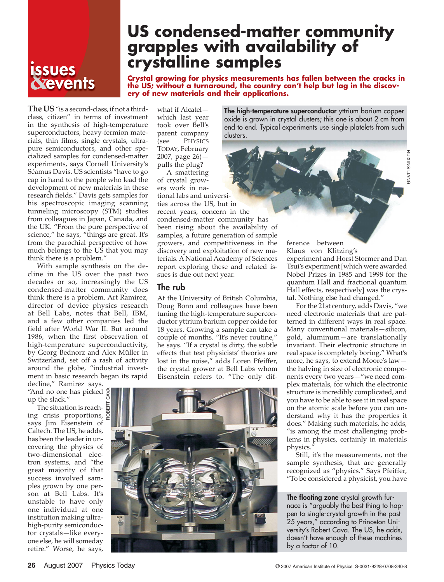# **US condensed-matter community grapples with availability of crystalline samples**

**Crystal growing for physics measurements has fallen between the cracks in the US; without a turnaround, the country can't help but lag in the discovery of new materials and their applications.**

**The US**"is a second-class, if not a thirdclass, citizen" in terms of investment in the synthesis of high-temperature superconductors, heavy-fermion materials, thin films, single crystals, ultrapure semiconductors, and other specialized samples for condensed-matter experiments, says Cornell University's Séamus Davis. US scientists "have to go cap in hand to the people who lead the development of new materials in these research fields." Davis gets samples for his spectroscopic imaging scanning tunneling microscopy (STM) studies from colleagues in Japan, Canada, and the UK. "From the pure perspective of science," he says, "things are great. It's from the parochial perspective of how much belongs to the US that you may think there is a problem."

**issues** 

**Tevents** 

With sample synthesis on the decline in the US over the past two decades or so, increasingly the US condensed-matter community does think there is a problem. Art Ramirez, director of device physics research at Bell Labs, notes that Bell, IBM, and a few other companies led the field after World War II. But around 1986, when the first observation of high-temperature superconductivity, by Georg Bednorz and Alex Müller in Switzerland, set off a rash of activity around the globe, "industrial investment in basic research began its rapid

decline," Ramirez says. "And no one has picked up the slack."

The situation is reach- $\frac{5}{4}$ ing crisis proportions, says Jim Eisenstein of Caltech. The US, he adds, has been the leader in uncovering the physics of two-dimensional electron systems, and "the great majority of that success involved samples grown by one person at Bell Labs. It's unstable to have only one individual at one institution making ultrahigh-purity semiconductor crystals—like everyone else, he will someday retire." Worse, he says,

what if Alcatel which last year took over Bell's parent company (see PHYSICS TODAY, February 2007, page 26) pulls the plug?

A smattering of crystal growers work in national labs and universities across the US, but in recent years, concern in the condensed-matter community has been rising about the availability of samples, a future generation of sample growers, and competitiveness in the discovery and exploitation of new materials. A National Academy of Sciences report exploring these and related issues is due out next year.

### The rub

At the University of British Columbia, Doug Bonn and colleagues have been tuning the high-temperature superconductor yttrium barium copper oxide for 18 years. Growing a sample can take a couple of months. "It's never routine," he says. "If a crystal is dirty, the subtle effects that test physicists' theories are lost in the noise," adds Loren Pfeiffer, the crystal grower at Bell Labs whom Eisenstein refers to. "The only dif-



The high-temperature superconductor yttrium barium copper oxide is grown in crystal clusters; this one is about 2 cm from end to end. Typical experiments use single platelets from such clusters.

> ference between Klaus von Klitzing's experiment and Horst Stormer and Dan Tsui's experiment [which were awarded Nobel Prizes in 1985 and 1998 for the quantum Hall and fractional quantum Hall effects, respectively] was the crystal. Nothing else had changed."

RUIXING

LIANG

For the 21st century, adds Davis, "we need electronic materials that are patterned in different ways in real space. Many conventional materials—silicon, gold, aluminum—are translationally invariant. Their electronic structure in real space is completely boring." What's more, he says, to extend Moore's law the halving in size of electronic components every two years—"we need complex materials, for which the electronic structure is incredibly complicated, and you have to be able to see it in real space on the atomic scale before you can understand why it has the properties it does." Making such materials, he adds, "is among the most challenging problems in physics, certainly in materials physics."

Still, it's the measurements, not the sample synthesis, that are generally recognized as "physics." Says Pfeiffer, "To be considered a physicist, you have

The floating zone crystal growth furnace is "arguably the best thing to happen to single-crystal growth in the past 25 years," according to Princeton University's Robert Cava. The US, he adds, doesn't have enough of these machines by a factor of 10.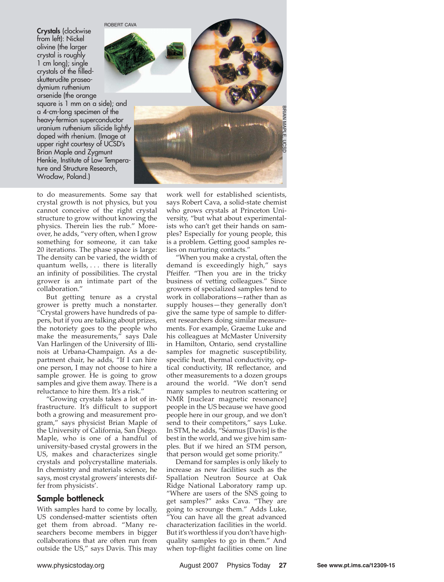Crystals (clockwise from left): Nickel olivine (the larger crystal is roughly 1 cm long); single crystals of the filledskutterudite praseodymium ruthenium arsenide (the orange square is 1 mm on a side); and a 4-cm-long specimen of the heavy-fermion superconductor uranium ruthenium silicide lightly doped with rhenium. (Image at upper right courtesy of UCSD's Brian Maple and Zygmunt Henkie, Institute of Low Temperature and Structure Research, Wroclaw, Poland.)



to do measurements. Some say that crystal growth is not physics, but you cannot conceive of the right crystal structure to grow without knowing the physics. Therein lies the rub." Moreover, he adds, "very often, when I grow something for someone, it can take 20 iterations. The phase space is large: The density can be varied, the width of quantum wells, . . . there is literally an infinity of possibilities. The crystal grower is an intimate part of the collaboration."

But getting tenure as a crystal grower is pretty much a nonstarter. "Crystal growers have hundreds of papers, but if you are talking about prizes, the notoriety goes to the people who make the measurements," says Dale Van Harlingen of the University of Illinois at Urbana-Champaign. As a department chair, he adds, "If I can hire one person, I may not choose to hire a sample grower. He is going to grow samples and give them away. There is a reluctance to hire them. It's a risk."

"Growing crystals takes a lot of infrastructure. It's difficult to support both a growing and measurement program," says physicist Brian Maple of the University of California, San Diego. Maple, who is one of a handful of university-based crystal growers in the US, makes and characterizes single crystals and polycrystalline materials. In chemistry and materials science, he says, most crystal growers'interests differ from physicists'.

#### Sample bottleneck

With samples hard to come by locally, US condensed-matter scientists often get them from abroad. "Many researchers become members in bigger collaborations that are often run from outside the US," says Davis. This may

work well for established scientists, says Robert Cava, a solid-state chemist who grows crystals at Princeton University, "but what about experimentalists who can't get their hands on samples? Especially for young people, this is a problem. Getting good samples relies on nurturing contacts."

"When you make a crystal, often the demand is exceedingly high," says Pfeiffer. "Then you are in the tricky business of vetting colleagues." Since growers of specialized samples tend to work in collaborations—rather than as supply houses—they generally don't give the same type of sample to different researchers doing similar measurements. For example, Graeme Luke and his colleagues at McMaster University in Hamilton, Ontario, send crystalline samples for magnetic susceptibility, specific heat, thermal conductivity, optical conductivity, IR reflectance, and other measurements to a dozen groups around the world. "We don't send many samples to neutron scattering or NMR [nuclear magnetic resonance] people in the US because we have good people here in our group, and we don't send to their competitors," says Luke. In STM, he adds, "Séamus [Davis] is the best in the world, and we give him samples. But if we hired an STM person, that person would get some priority."

Demand for samples is only likely to increase as new facilities such as the Spallation Neutron Source at Oak Ridge National Laboratory ramp up. "Where are users of the SNS going to get samples?" asks Cava. "They are going to scrounge them." Adds Luke, "You can have all the great advanced characterization facilities in the world. But it's worthless if you don't have highquality samples to go in them." And when top-flight facilities come on line